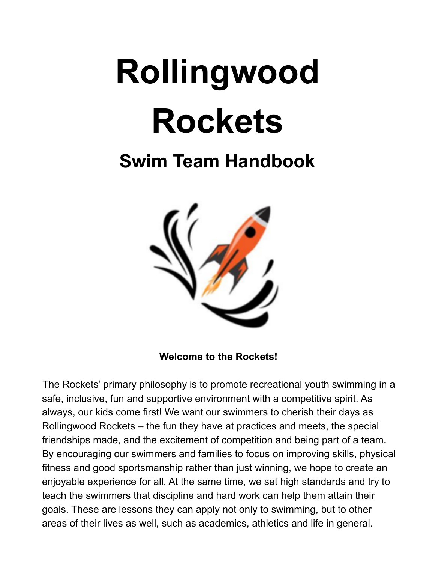# **Rollingwood Rockets**

# **Swim Team Handbook**



**Welcome to the Rockets!**

The Rockets' primary philosophy is to promote recreational youth swimming in a safe, inclusive, fun and supportive environment with a competitive spirit. As always, our kids come first! We want our swimmers to cherish their days as Rollingwood Rockets – the fun they have at practices and meets, the special friendships made, and the excitement of competition and being part of a team. By encouraging our swimmers and families to focus on improving skills, physical fitness and good sportsmanship rather than just winning, we hope to create an enjoyable experience for all. At the same time, we set high standards and try to teach the swimmers that discipline and hard work can help them attain their goals. These are lessons they can apply not only to swimming, but to other areas of their lives as well, such as academics, athletics and life in general.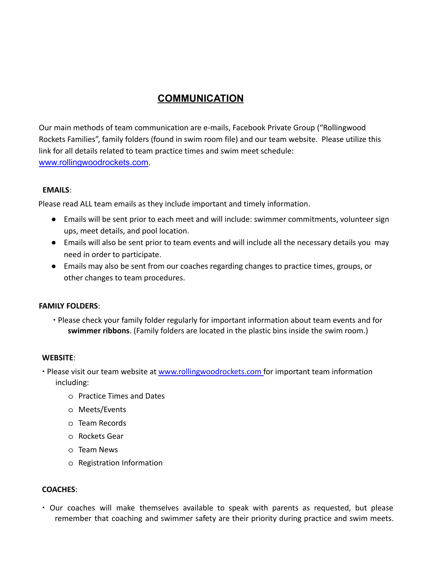# **COMMUNICATION**

Our main methods of team communication are e-mails, Facebook Private Group ("Rollingwood Rockets Families", family folders (found in swim room file) and our team website. Please utilize this link for all details related to team practice times and swim meet schedule: www.rollingwoodrockets.com.

#### **EMAILS**:

Please read ALL team emails as they include important and timely information.

- Emails will be sent prior to each meet and will include: swimmer commitments, volunteer sign ups, meet details, and pool location.
- Emails will also be sent prior to team events and will include all the necessary details you may need in order to participate.
- Emails may also be sent from our coaches regarding changes to practice times, groups, or other changes to team procedures.

#### **FAMILY FOLDERS**:

∙ Please check your family folder regularly for important information about team events and for **swimmer ribbons**. (Family folders are located in the plastic bins inside the swim room.)

#### **WEBSITE**:

- ∙ Please visit our team website at www.rollingwoodrockets.com for important team information including:
	- o Practice Times and Dates
	- o Meets/Events
	- o Team Records
	- o Rockets Gear
	- o Team News
	- o Registration Information

#### **COACHES**:

∙ Our coaches will make themselves available to speak with parents as requested, but please remember that coaching and swimmer safety are their priority during practice and swim meets.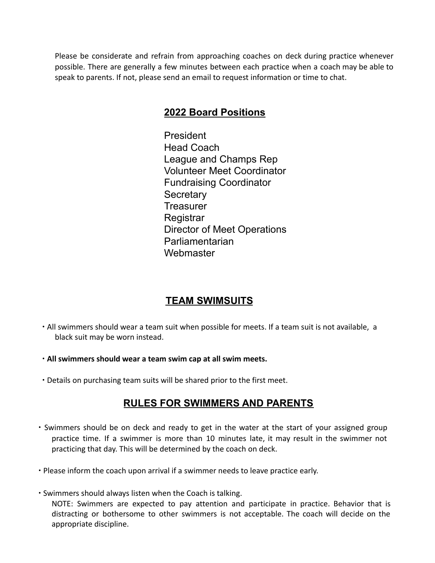Please be considerate and refrain from approaching coaches on deck during practice whenever possible. There are generally a few minutes between each practice when a coach may be able to speak to parents. If not, please send an email to request information or time to chat.

### **2022 Board Positions**

President Head Coach League and Champs Rep Volunteer Meet Coordinator Fundraising Coordinator **Secretary Treasurer** Registrar Director of Meet Operations Parliamentarian **Webmaster** 

# **TEAM SWIMSUITS**

- ∙ All swimmers should wear a team suit when possible for meets. If a team suit is not available, a black suit may be worn instead.
- ∙ **All swimmers should wear a team swim cap at all swim meets.**
- ∙ Details on purchasing team suits will be shared prior to the first meet.

# **RULES FOR SWIMMERS AND PARENTS**

- ∙ Swimmers should be on deck and ready to get in the water at the start of your assigned group practice time. If a swimmer is more than 10 minutes late, it may result in the swimmer not practicing that day. This will be determined by the coach on deck.
- ∙ Please inform the coach upon arrival if a swimmer needs to leave practice early.
- ∙ Swimmers should always listen when the Coach is talking. NOTE: Swimmers are expected to pay attention and participate in practice. Behavior that is distracting or bothersome to other swimmers is not acceptable. The coach will decide on the

appropriate discipline.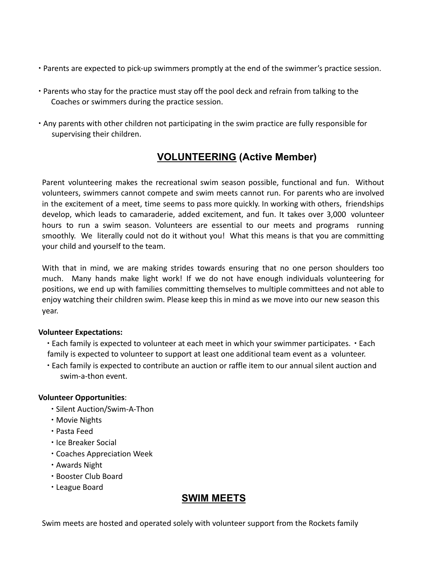- ∙ Parents are expected to pick-up swimmers promptly at the end of the swimmer's practice session.
- ∙ Parents who stay for the practice must stay off the pool deck and refrain from talking to the Coaches or swimmers during the practice session.
- ∙ Any parents with other children not participating in the swim practice are fully responsible for supervising their children.

# **VOLUNTEERING (Active Member)**

Parent volunteering makes the recreational swim season possible, functional and fun. Without volunteers, swimmers cannot compete and swim meets cannot run. For parents who are involved in the excitement of a meet, time seems to pass more quickly. In working with others, friendships develop, which leads to camaraderie, added excitement, and fun. It takes over 3,000 volunteer hours to run a swim season. Volunteers are essential to our meets and programs running smoothly. We literally could not do it without you! What this means is that you are committing your child and yourself to the team.

With that in mind, we are making strides towards ensuring that no one person shoulders too much. Many hands make light work! If we do not have enough individuals volunteering for positions, we end up with families committing themselves to multiple committees and not able to enjoy watching their children swim. Please keep this in mind as we move into our new season this year.

#### **Volunteer Expectations:**

∙ Each family is expected to volunteer at each meet in which your swimmer participates. ∙ Each family is expected to volunteer to support at least one additional team event as a volunteer.

∙ Each family is expected to contribute an auction or raffle item to our annual silent auction and swim-a-thon event.

#### **Volunteer Opportunities**:

- ∙ Silent Auction/Swim-A-Thon
- ∙ Movie Nights
- ∙ Pasta Feed
- ∙ Ice Breaker Social
- ∙ Coaches Appreciation Week
- ∙ Awards Night
- ∙ Booster Club Board
- ∙ League Board

# **SWIM MEETS**

Swim meets are hosted and operated solely with volunteer support from the Rockets family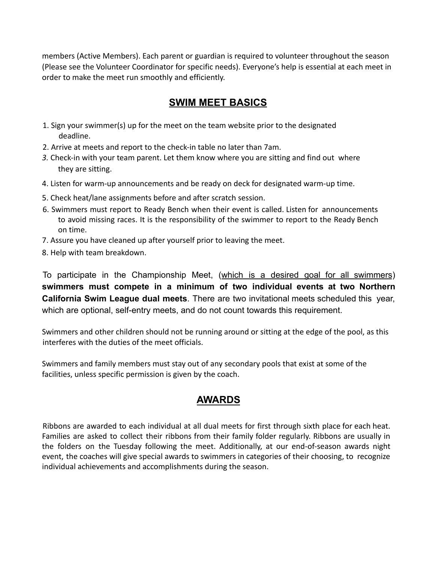members (Active Members). Each parent or guardian is required to volunteer throughout the season (Please see the Volunteer Coordinator for specific needs). Everyone's help is essential at each meet in order to make the meet run smoothly and efficiently.

## **SWIM MEET BASICS**

- 1. Sign your swimmer(s) up for the meet on the team website prior to the designated deadline.
- 2. Arrive at meets and report to the check-in table no later than 7am.
- *3.* Check-in with your team parent. Let them know where you are sitting and find out where they are sitting.
- 4. Listen for warm-up announcements and be ready on deck for designated warm-up time.
- 5. Check heat/lane assignments before and after scratch session.
- 6. Swimmers must report to Ready Bench when their event is called. Listen for announcements to avoid missing races. It is the responsibility of the swimmer to report to the Ready Bench on time.
- 7. Assure you have cleaned up after yourself prior to leaving the meet.
- 8. Help with team breakdown.

To participate in the Championship Meet, (which is a desired goal for all swimmers) **swimmers must compete in a minimum of two individual events at two Northern California Swim League dual meets**. There are two invitational meets scheduled this year, which are optional, self-entry meets, and do not count towards this requirement.

Swimmers and other children should not be running around or sitting at the edge of the pool, as this interferes with the duties of the meet officials.

Swimmers and family members must stay out of any secondary pools that exist at some of the facilities, unless specific permission is given by the coach.

# **AWARDS**

Ribbons are awarded to each individual at all dual meets for first through sixth place for each heat. Families are asked to collect their ribbons from their family folder regularly. Ribbons are usually in the folders on the Tuesday following the meet. Additionally, at our end-of-season awards night event, the coaches will give special awards to swimmers in categories of their choosing, to recognize individual achievements and accomplishments during the season.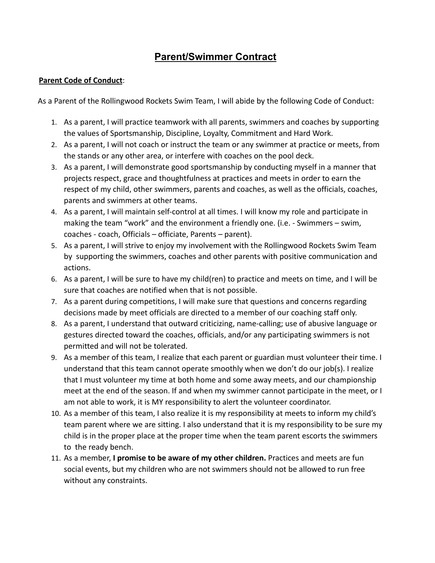# **Parent/Swimmer Contract**

#### **Parent Code of Conduct**:

As a Parent of the Rollingwood Rockets Swim Team, I will abide by the following Code of Conduct:

- 1. As a parent, I will practice teamwork with all parents, swimmers and coaches by supporting the values of Sportsmanship, Discipline, Loyalty, Commitment and Hard Work.
- 2. As a parent, I will not coach or instruct the team or any swimmer at practice or meets, from the stands or any other area, or interfere with coaches on the pool deck.
- 3. As a parent, I will demonstrate good sportsmanship by conducting myself in a manner that projects respect, grace and thoughtfulness at practices and meets in order to earn the respect of my child, other swimmers, parents and coaches, as well as the officials, coaches, parents and swimmers at other teams.
- 4. As a parent, I will maintain self-control at all times. I will know my role and participate in making the team "work" and the environment a friendly one. (i.e. - Swimmers – swim, coaches - coach, Officials – officiate, Parents – parent).
- 5. As a parent, I will strive to enjoy my involvement with the Rollingwood Rockets Swim Team by supporting the swimmers, coaches and other parents with positive communication and actions.
- 6. As a parent, I will be sure to have my child(ren) to practice and meets on time, and I will be sure that coaches are notified when that is not possible.
- 7. As a parent during competitions, I will make sure that questions and concerns regarding decisions made by meet officials are directed to a member of our coaching staff only.
- 8. As a parent, I understand that outward criticizing, name-calling; use of abusive language or gestures directed toward the coaches, officials, and/or any participating swimmers is not permitted and will not be tolerated.
- 9. As a member of this team, I realize that each parent or guardian must volunteer their time. I understand that this team cannot operate smoothly when we don't do our job(s). I realize that I must volunteer my time at both home and some away meets, and our championship meet at the end of the season. If and when my swimmer cannot participate in the meet, or I am not able to work, it is MY responsibility to alert the volunteer coordinator.
- 10. As a member of this team, I also realize it is my responsibility at meets to inform my child's team parent where we are sitting. I also understand that it is my responsibility to be sure my child is in the proper place at the proper time when the team parent escorts the swimmers to the ready bench.
- 11. As a member, **I promise to be aware of my other children.** Practices and meets are fun social events, but my children who are not swimmers should not be allowed to run free without any constraints.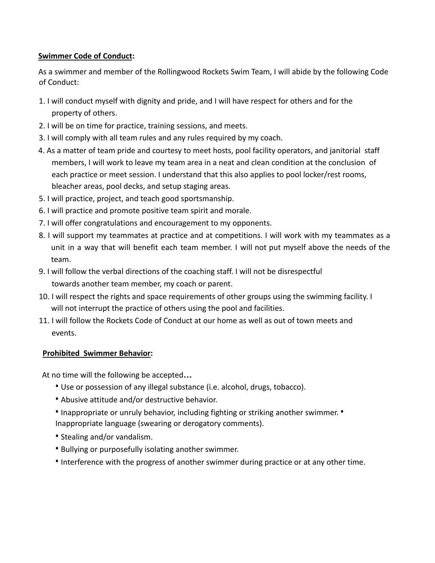#### **Swimmer Code of Conduct:**

As a swimmer and member of the Rollingwood Rockets Swim Team, I will abide by the following Code of Conduct:

- 1. I will conduct myself with dignity and pride, and I will have respect for others and for the property of others.
- 2. I will be on time for practice, training sessions, and meets.
- 3. I will comply with all team rules and any rules required by my coach.
- 4. As a matter of team pride and courtesy to meet hosts, pool facility operators, and janitorial staff members, I will work to leave my team area in a neat and clean condition at the conclusion of each practice or meet session. I understand that this also applies to pool locker/rest rooms, bleacher areas, pool decks, and setup staging areas.
- 5. I will practice, project, and teach good sportsmanship.
- 6. I will practice and promote positive team spirit and morale.
- 7. I will offer congratulations and encouragement to my opponents.
- 8. I will support my teammates at practice and at competitions. I will work with my teammates as a unit in a way that will benefit each team member. I will not put myself above the needs of the team.
- 9. I will follow the verbal directions of the coaching staff. I will not be disrespectful towards another team member, my coach or parent.
- 10. I will respect the rights and space requirements of other groups using the swimming facility. I will not interrupt the practice of others using the pool and facilities.
- 11. I will follow the Rockets Code of Conduct at our home as well as out of town meets and events.

#### **Prohibited Swimmer Behavior:**

At no time will the following be accepted**…**

- Use or possession of any illegal substance (i.e. alcohol, drugs, tobacco).
- Abusive attitude and/or destructive behavior.
- Inappropriate or unruly behavior, including fighting or striking another swimmer. Inappropriate language (swearing or derogatory comments).
- Stealing and/or vandalism.
- Bullying or purposefully isolating another swimmer.
- Interference with the progress of another swimmer during practice or at any other time.